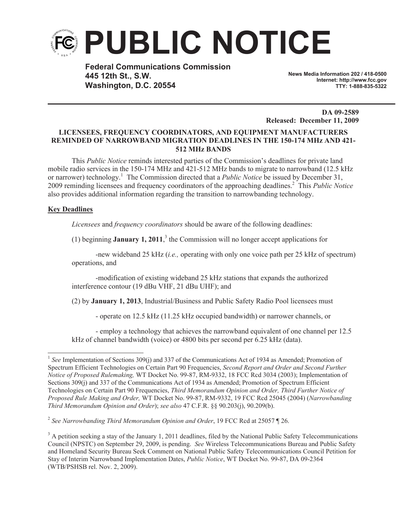

**Federal Communications Commission 445 12th St., S.W. Washington, D.C. 20554**

**News Media Information 202 / 418-0500 Internet: http://www.fcc.gov TTY: 1-888-835-5322**

**DA 09-2589 Released: December 11, 2009**

# **LICENSEES, FREQUENCY COORDINATORS, AND EQUIPMENT MANUFACTURERS REMINDED OF NARROWBAND MIGRATION DEADLINES IN THE 150-174 MHz AND 421- 512 MHz BANDS**

This *Public Notice* reminds interested parties of the Commission's deadlines for private land mobile radio services in the 150-174 MHz and 421-512 MHz bands to migrate to narrowband (12.5 kHz or narrower) technology.<sup>1</sup> The Commission directed that a *Public Notice* be issued by December 31, 2009 reminding licensees and frequency coordinators of the approaching deadlines.<sup>2</sup> This *Public Notice* also provides additional information regarding the transition to narrowbanding technology.

## **Key Deadlines**

*Licensees* and *frequency coordinators* should be aware of the following deadlines:

(1) beginning **January 1, 2011**, 3 the Commission will no longer accept applications for

-new wideband 25 kHz (*i.e.,* operating with only one voice path per 25 kHz of spectrum) operations, and

-modification of existing wideband 25 kHz stations that expands the authorized interference contour (19 dBu VHF, 21 dBu UHF); and

(2) by **January 1, 2013**, Industrial/Business and Public Safety Radio Pool licensees must

- operate on 12.5 kHz (11.25 kHz occupied bandwidth) or narrower channels, or

- employ a technology that achieves the narrowband equivalent of one channel per 12.5 kHz of channel bandwidth (voice) or 4800 bits per second per 6.25 kHz (data).

<sup>&</sup>lt;sup>1</sup> See Implementation of Sections 309(j) and 337 of the Communications Act of 1934 as Amended; Promotion of Spectrum Efficient Technologies on Certain Part 90 Frequencies, *Second Report and Order and Second Further Notice of Proposed Rulemaking,* WT Docket No. 99-87, RM-9332, 18 FCC Rcd 3034 (2003); Implementation of Sections 309(j) and 337 of the Communications Act of 1934 as Amended; Promotion of Spectrum Efficient Technologies on Certain Part 90 Frequencies, *Third Memorandum Opinion and Order, Third Further Notice of Proposed Rule Making and Order,* WT Docket No. 99-87, RM-9332, 19 FCC Rcd 25045 (2004) (*Narrowbanding Third Memorandum Opinion and Order*); *see also* 47 C.F.R. §§ 90.203(j), 90.209(b).

<sup>2</sup> *See Narrowbanding Third Memorandum Opinion and Order*, 19 FCC Rcd at 25057 ¶ 26.

 $3$  A petition seeking a stay of the January 1, 2011 deadlines, filed by the National Public Safety Telecommunications Council (NPSTC) on September 29, 2009, is pending. *See* Wireless Telecommunications Bureau and Public Safety and Homeland Security Bureau Seek Comment on National Public Safety Telecommunications Council Petition for Stay of Interim Narrowband Implementation Dates, *Public Notice*, WT Docket No. 99-87, DA 09-2364 (WTB/PSHSB rel. Nov. 2, 2009).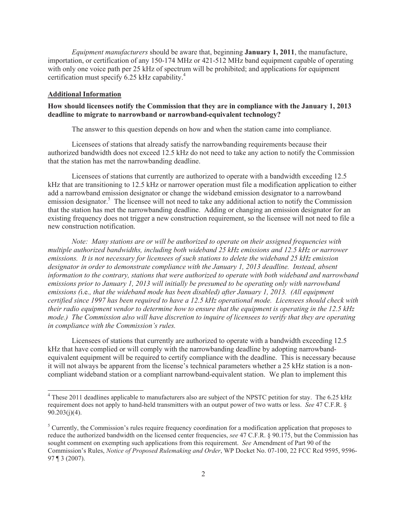*Equipment manufacturers* should be aware that, beginning **January 1, 2011**, the manufacture, importation, or certification of any 150-174 MHz or 421-512 MHz band equipment capable of operating with only one voice path per 25 kHz of spectrum will be prohibited; and applications for equipment certification must specify 6.25 kHz capability.<sup>4</sup>

#### **Additional Information**

## **How should licensees notify the Commission that they are in compliance with the January 1, 2013 deadline to migrate to narrowband or narrowband-equivalent technology?**

The answer to this question depends on how and when the station came into compliance.

Licensees of stations that already satisfy the narrowbanding requirements because their authorized bandwidth does not exceed 12.5 kHz do not need to take any action to notify the Commission that the station has met the narrowbanding deadline.

Licensees of stations that currently are authorized to operate with a bandwidth exceeding 12.5 kHz that are transitioning to 12.5 kHz or narrower operation must file a modification application to either add a narrowband emission designator or change the wideband emission designator to a narrowband emission designator.<sup>5</sup> The licensee will not need to take any additional action to notify the Commission that the station has met the narrowbanding deadline. Adding or changing an emission designator for an existing frequency does not trigger a new construction requirement, so the licensee will not need to file a new construction notification.

*Note: Many stations are or will be authorized to operate on their assigned frequencies with multiple authorized bandwidths, including both wideband 25 kHz emissions and 12.5 kHz or narrower emissions. It is not necessary for licensees of such stations to delete the wideband 25 kHz emission designator in order to demonstrate compliance with the January 1, 2013 deadline. Instead, absent information to the contrary, stations that were authorized to operate with both wideband and narrowband emissions prior to January 1, 2013 will initially be presumed to be operating only with narrowband emissions (*i.e*., that the wideband mode has been disabled) after January 1, 2013. (All equipment certified since 1997 has been required to have a 12.5 kHz operational mode. Licensees should check with their radio equipment vendor to determine how to ensure that the equipment is operating in the 12.5 kHz mode.) The Commission also will have discretion to inquire of licensees to verify that they are operating in compliance with the Commission's rules.*

Licensees of stations that currently are authorized to operate with a bandwidth exceeding 12.5 kHz that have complied or will comply with the narrowbanding deadline by adopting narrowbandequivalent equipment will be required to certify compliance with the deadline. This is necessary because it will not always be apparent from the license's technical parameters whether a 25 kHz station is a noncompliant wideband station or a compliant narrowband-equivalent station. We plan to implement this

<sup>&</sup>lt;sup>4</sup> These 2011 deadlines applicable to manufacturers also are subject of the NPSTC petition for stay. The 6.25 kHz requirement does not apply to hand-held transmitters with an output power of two watts or less. *See* 47 C.F.R. § 90.203(j)(4).

<sup>&</sup>lt;sup>5</sup> Currently, the Commission's rules require frequency coordination for a modification application that proposes to reduce the authorized bandwidth on the licensed center frequencies, *see* 47 C.F.R. § 90.175, but the Commission has sought comment on exempting such applications from this requirement. *See* Amendment of Part 90 of the Commission's Rules, *Notice of Proposed Rulemaking and Order*, WP Docket No. 07-100, 22 FCC Rcd 9595, 9596- 97 ¶ 3 (2007).